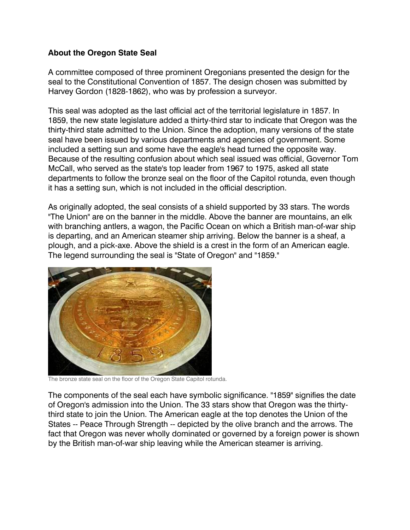## **About the Oregon State Seal**

A committee composed of three prominent Oregonians presented the design for the seal to the Constitutional Convention of 1857. The design chosen was submitted by Harvey Gordon (1828-1862), who was by profession a surveyor.

This seal was adopted as the last official act of the territorial legislature in 1857. In 1859, the new state legislature added a thirty-third star to indicate that Oregon was the thirty-third state admitted to the Union. Since the adoption, many versions of the state seal have been issued by various departments and agencies of government. Some included a setting sun and some have the eagle's head turned the opposite way. Because of the resulting confusion about which seal issued was official, Governor Tom McCall, who served as the state's top leader from 1967 to 1975, asked all state departments to follow the bronze seal on the floor of the Capitol rotunda, even though it has a setting sun, which is not included in the official description.

As originally adopted, the seal consists of a shield supported by 33 stars. The words "The Union" are on the banner in the middle. Above the banner are mountains, an elk with branching antlers, a wagon, the Pacific Ocean on which a British man-of-war ship is departing, and an American steamer ship arriving. Below the banner is a sheaf, a plough, and a pick-axe. Above the shield is a crest in the form of an American eagle. The legend surrounding the seal is "State of Oregon" and "1859."



The bronze state seal on the floor of the Oregon State Capitol rotunda.

The components of the seal each have symbolic significance. "1859" signifies the date of Oregon's admission into the Union. The 33 stars show that Oregon was the thirtythird state to join the Union. The American eagle at the top denotes the Union of the States -- Peace Through Strength -- depicted by the olive branch and the arrows. The fact that Oregon was never wholly dominated or governed by a foreign power is shown by the British man-of-war ship leaving while the American steamer is arriving.